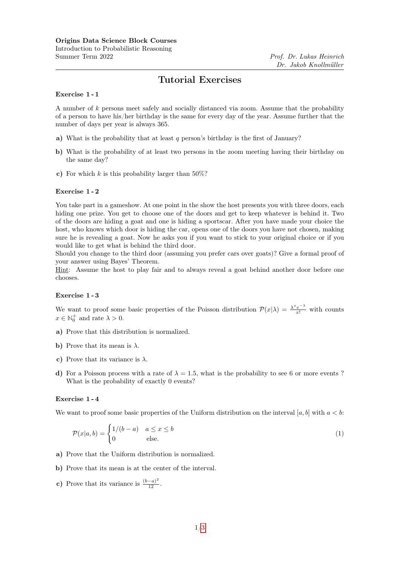# Tutorial Exercises

# Exercise 1 - 1

A number of k persons meet safely and socially distanced via zoom. Assume that the probability of a person to have his/her birthday is the same for every day of the year. Assume further that the number of days per year is always 365.

- a) What is the probability that at least  $q$  person's birthday is the first of January?
- b) What is the probability of at least two persons in the zoom meeting having their birthday on the same day?
- c) For which k is this probability larger than  $50\%$ ?

# Exercise 1 - 2

You take part in a gameshow. At one point in the show the host presents you with three doors, each hiding one prize. You get to choose one of the doors and get to keep whatever is behind it. Two of the doors are hiding a goat and one is hiding a sportscar. After you have made your choice the host, who knows which door is hiding the car, opens one of the doors you have not chosen, making sure he is revealing a goat. Now he asks you if you want to stick to your original choice or if you would like to get what is behind the third door.

Should you change to the third door (assuming you prefer cars over goats)? Give a formal proof of your answer using Bayes' Theorem.

Hint: Assume the host to play fair and to always reveal a goat behind another door before one chooses.

#### Exercise 1 - 3

We want to proof some basic properties of the Poisson distribution  $\mathcal{P}(x|\lambda) = \frac{\lambda^x e^{-\lambda}}{x!}$  with counts  $x \in \mathbb{N}_0^+$  and rate  $\lambda > 0$ .

- a) Prove that this distribution is normalized.
- b) Prove that its mean is  $\lambda$ .
- c) Prove that its variance is  $\lambda$ .
- d) For a Poisson process with a rate of  $\lambda = 1.5$ , what is the probability to see 6 or more events ? What is the probability of exactly 0 events?

#### Exercise 1 - 4

We want to proof some basic properties of the Uniform distribution on the interval [a, b] with  $a < b$ :

$$
\mathcal{P}(x|a,b) = \begin{cases} 1/(b-a) & a \le x \le b \\ 0 & \text{else.} \end{cases}
$$
 (1)

- a) Prove that the Uniform distribution is normalized.
- b) Prove that its mean is at the center of the interval.
- c) Prove that its variance is  $\frac{(b-a)^2}{12}$ .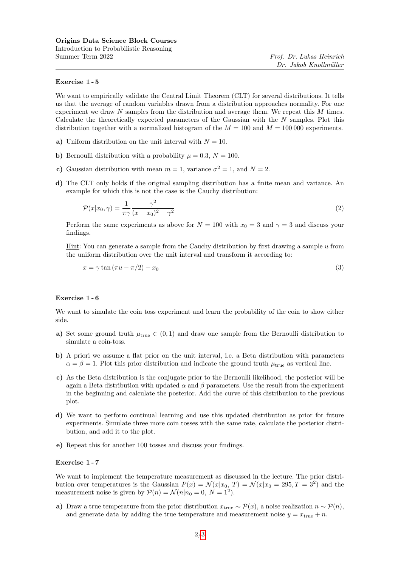### Exercise 1 - 5

We want to empirically validate the Central Limit Theorem (CLT) for several distributions. It tells us that the average of random variables drawn from a distribution approaches normality. For one experiment we draw N samples from the distribution and average them. We repeat this M times. Calculate the theoretically expected parameters of the Gaussian with the N samples. Plot this distribution together with a normalized histogram of the  $M = 100$  and  $M = 100000$  experiments.

- a) Uniform distribution on the unit interval with  $N = 10$ .
- b) Bernoulli distribution with a probability  $\mu = 0.3$ ,  $N = 100$ .
- c) Gaussian distribution with mean  $m = 1$ , variance  $\sigma^2 = 1$ , and  $N = 2$ .
- d) The CLT only holds if the original sampling distribution has a finite mean and variance. An example for which this is not the case is the Cauchy distribution:

$$
\mathcal{P}(x|x_0,\gamma) = \frac{1}{\pi\gamma} \frac{\gamma^2}{(x-x_0)^2 + \gamma^2} \tag{2}
$$

Perform the same experiments as above for  $N = 100$  with  $x_0 = 3$  and  $\gamma = 3$  and discuss your findings.

Hint: You can generate a sample from the Cauchy distribution by first drawing a sample  $u$  from the uniform distribution over the unit interval and transform it according to:

$$
x = \gamma \tan(\pi u - \pi/2) + x_0 \tag{3}
$$

# Exercise 1 - 6

We want to simulate the coin toss experiment and learn the probability of the coin to show either side.

- a) Set some ground truth  $\mu_{true} \in (0,1)$  and draw one sample from the Bernoulli distribution to simulate a coin-toss.
- b) A priori we assume a flat prior on the unit interval, i.e. a Beta distribution with parameters  $\alpha = \beta = 1$ . Plot this prior distribution and indicate the ground truth  $\mu_{true}$  as vertical line.
- c) As the Beta distribution is the conjugate prior to the Bernoulli likelihood, the posterior will be again a Beta distribution with updated  $\alpha$  and  $\beta$  parameters. Use the result from the experiment in the beginning and calculate the posterior. Add the curve of this distribution to the previous plot.
- d) We want to perform continual learning and use this updated distribution as prior for future experiments. Simulate three more coin tosses with the same rate, calculate the posterior distribution, and add it to the plot.
- e) Repeat this for another 100 tosses and discuss your findings.

# Exercise 1 - 7

We want to implement the temperature measurement as discussed in the lecture. The prior distribution over temperatures is the Gaussian  $P(x) = \mathcal{N}(x|x_0, T) = \mathcal{N}(x|x_0 = 295, T = 3^2)$  and the measurement noise is given by  $P(n) = \mathcal{N}(n|n_0 = 0, N = 1^2)$ .

a) Draw a true temperature from the prior distribution  $x_{true} \sim \mathcal{P}(x)$ , a noise realization  $n \sim \mathcal{P}(n)$ , and generate data by adding the true temperature and measurement noise  $y = x_{true} + n$ .